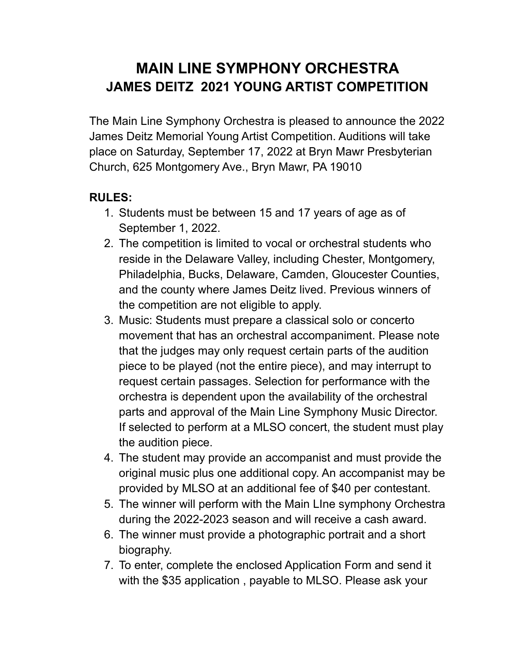## **MAIN LINE SYMPHONY ORCHESTRA JAMES DEITZ 2021 YOUNG ARTIST COMPETITION**

The Main Line Symphony Orchestra is pleased to announce the 2022 James Deitz Memorial Young Artist Competition. Auditions will take place on Saturday, September 17, 2022 at Bryn Mawr Presbyterian Church, 625 Montgomery Ave., Bryn Mawr, PA 19010

## **RULES:**

- 1. Students must be between 15 and 17 years of age as of September 1, 2022.
- 2. The competition is limited to vocal or orchestral students who reside in the Delaware Valley, including Chester, Montgomery, Philadelphia, Bucks, Delaware, Camden, Gloucester Counties, and the county where James Deitz lived. Previous winners of the competition are not eligible to apply.
- 3. Music: Students must prepare a classical solo or concerto movement that has an orchestral accompaniment. Please note that the judges may only request certain parts of the audition piece to be played (not the entire piece), and may interrupt to request certain passages. Selection for performance with the orchestra is dependent upon the availability of the orchestral parts and approval of the Main Line Symphony Music Director. If selected to perform at a MLSO concert, the student must play the audition piece.
- 4. The student may provide an accompanist and must provide the original music plus one additional copy. An accompanist may be provided by MLSO at an additional fee of \$40 per contestant.
- 5. The winner will perform with the Main LIne symphony Orchestra during the 2022-2023 season and will receive a cash award.
- 6. The winner must provide a photographic portrait and a short biography.
- 7. To enter, complete the enclosed Application Form and send it with the \$35 application , payable to MLSO. Please ask your